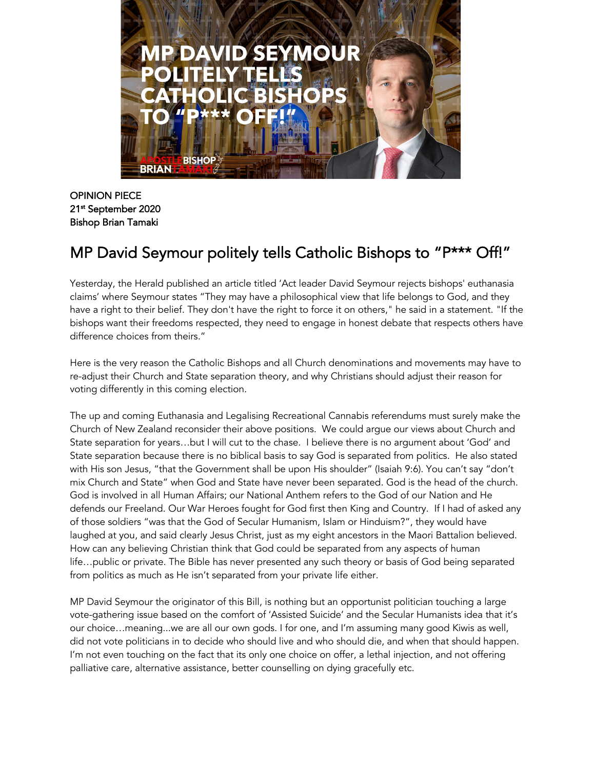

OPINION PIECE 21st September 2020 Bishop Brian Tamaki

## MP David Seymour politely tells Catholic Bishops to "P\*\*\* Off!"

Yesterday, the Herald published an article titled 'Act leader David Seymour rejects bishops' euthanasia claims' where Seymour states "They may have a philosophical view that life belongs to God, and they have a right to their belief. They don't have the right to force it on others," he said in a statement. "If the bishops want their freedoms respected, they need to engage in honest debate that respects others have difference choices from theirs."

Here is the very reason the Catholic Bishops and all Church denominations and movements may have to re-adjust their Church and State separation theory, and why Christians should adjust their reason for voting differently in this coming election.

The up and coming Euthanasia and Legalising Recreational Cannabis referendums must surely make the Church of New Zealand reconsider their above positions. We could argue our views about Church and State separation for years…but I will cut to the chase. I believe there is no argument about 'God' and State separation because there is no biblical basis to say God is separated from politics. He also stated with His son Jesus, "that the Government shall be upon His shoulder" (Isaiah 9:6). You can't say "don't mix Church and State" when God and State have never been separated. God is the head of the church. God is involved in all Human Affairs; our National Anthem refers to the God of our Nation and He defends our Freeland. Our War Heroes fought for God first then King and Country. If I had of asked any of those soldiers "was that the God of Secular Humanism, Islam or Hinduism?", they would have laughed at you, and said clearly Jesus Christ, just as my eight ancestors in the Maori Battalion believed. How can any believing Christian think that God could be separated from any aspects of human life…public or private. The Bible has never presented any such theory or basis of God being separated from politics as much as He isn't separated from your private life either.

MP David Seymour the originator of this Bill, is nothing but an opportunist politician touching a large vote-gathering issue based on the comfort of 'Assisted Suicide' and the Secular Humanists idea that it's our choice…meaning...we are all our own gods. I for one, and I'm assuming many good Kiwis as well, did not vote politicians in to decide who should live and who should die, and when that should happen. I'm not even touching on the fact that its only one choice on offer, a lethal injection, and not offering palliative care, alternative assistance, better counselling on dying gracefully etc.